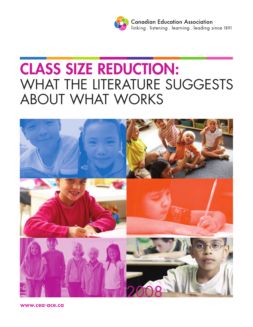

# **CLASS SIZE REDUCTION:** WHAT THE LITERATURE SUGGESTS ABOUT WHAT WORKS



**www.cea-ace.ca**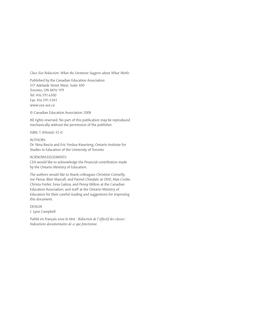#### *Class Size Reduction: What the Literature Suggests about What Works*

Published by the Canadian Education Association 317 Adelaide Street West, Suite 300 Toronto, ON M5V 1P9 Tel: 416.591.6300 Fax: 416.591.5345 www.cea-ace.ca

© Canadian Education Association 2008

All rights reserved. No part of this publication may be reproduced mechanically without the permission of the publisher.

ISBN: 1-896660-32-0

#### AUTHORS

Dr. Nina Bascia and Eric Fredua-Kwarteng, Ontario Institute for Studies in Education of the University of Toronto

#### ACKNOWLEDGEMENTS

CEA would like to acknowledge the financial contribution made by the Ontario Ministry of Education.

The authors would like to thank colleagues Christine Connelly, Joe Flessa, Blair Mascall, and Pannel Chindalo at OISE; Max Cooke, Christa Freiler, Eeva Gakiza, and Penny Milton at the Canadian Education Association; and staff at the Ontario Ministry of Education for their careful reading and suggestions for improving this document.

DESIGN

J. Lynn Campbell

Publié en français sous le titre : *Réduction de l'effectif des classes : Indications documentaires de ce qui fonctionne*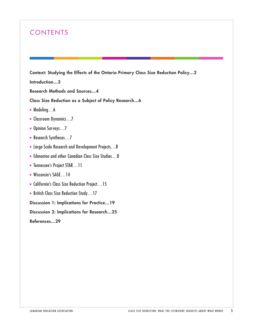# CONTENTS

**Context: Studying the Effects of the Ontario Primary Class Size Reduction Policy…2**

**Introduction…3**

**Research Methods and Sources…4**

**Class Size Reduction as a Subject of Policy Research…6**

- Modeling...6
- Classroom Dynamics…7
- Opinion Surveys...7
- Research Syntheses...7
- Large-Scale Research and Development Projects…8
- Edmonton and other Canadian Class Size Studies…8
- Tennessee's Project STAR…11
- Wisconsin's SAGE...14
- California's Class Size Reduction Project…15
- British Class Size Reduction Study…17

**Discussion 1: Implications for Practice…19**

**Discussion 2: Implications for Research…25**

**References…29**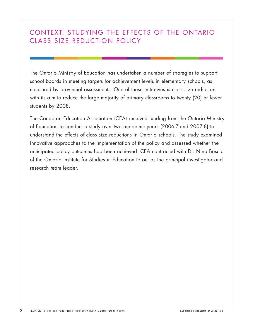## CONTEXT: STUDYING THE EFFECTS OF THE ONTARIO CLASS SIZE REDUCTION POLICY

The Ontario Ministry of Education has undertaken a number of strategies to support school boards in meeting targets for achievement levels in elementary schools, as measured by provincial assessments. One of these initiatives is class size reduction with its aim to reduce the large majority of primary classrooms to twenty (20) or fewer students by 2008.

The Canadian Education Association (CEA) received funding from the Ontario Ministry of Education to conduct a study over two academic years (2006-7 and 2007-8) to understand the effects of class size reductions in Ontario schools. The study examined innovative approaches to the implementation of the policy and assessed whether the anticipated policy outcomes had been achieved. CEA contracted with Dr. Nina Bascia of the Ontario Institute for Studies in Education to act as the principal investigator and research team leader.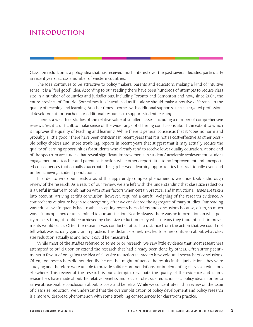## **INTRODUCTION**

Class size reduction is a policy idea that has received much interest over the past several decades, particularly in recent years, across a number of western countries.

The idea continues to be attractive to policy makers, parents and educators, making a kind of intuitive sense; it is a "feel good" idea. According to our reading there have been hundreds of attempts to reduce class size in a number of countries and jurisdictions, including Toronto and Edmonton and now, since 2004, the entire province of Ontario. Sometimes it is introduced as if it alone should make a positive difference in the quality of teaching and learning. At other times it comes with additional supports such as targeted professional development for teachers, or additional resources to support student learning.

There is a wealth of studies of the relative value of smaller classes, including a number of comprehensive reviews. Yet it is difficult to make sense of the wide range of differing conclusions about the extent to which it improves the quality of teaching and learning. While there is general consensus that it "does no harm and probably a little good," there have been criticisms in recent years that it is not as cost-effective as other possible policy choices and, more troubling, reports in recent years that suggest that it may actually reduce the quality of learning opportunities for students who already tend to receive lower quality education. At one end of the spectrum are studies that reveal significant improvements in students' academic achievement, student engagement and teacher and parent satisfaction while others report little to no improvement and unexpected consequences that actually exacerbate the gap between learning opportunities for traditionally over- and under-achieving student populations.

In order to wrap our heads around this apparently complex phenomenon, we undertook a thorough review of the research. As a result of our review, we are left with the understanding that class size reduction is a useful initiative in combination with other factors when certain practical and instructional issues are taken into account. Arriving at this conclusion, however, required a careful weighing of the research evidence. A comprehensive picture began to emerge only after we considered the aggregate of many studies. Our reading was critical: we frequently had trouble accepting researchers' claims and conclusions because, often, so much was left unexplained or unexamined to our satisfaction. Nearly always, there was no information on what policy makers thought could be achieved by class size reduction or by what means they thought such improvements would occur. Often the research was conducted at such a distance from the action that we could not tell what was actually going on in practice. This distance sometimes led to some confusion about what class size reduction actually is and how it could be measured.

While most of the studies referred to some prior research, we saw little evidence that most researchers attempted to build upon or extend the research that had already been done by others. Often strong sentiments in favour of or against the idea of class size reduction seemed to have coloured researchers' conclusions. Often, too, researchers did not identify factors that might influence the results in the jurisdictions they were studying and therefore were unable to provide solid recommendations for implementing class size reductions elsewhere. This review of the research is our attempt to evaluate the quality of the evidence and claims researchers have made about the relative benefits and costs of class size reduction as a policy idea, in order to arrive at reasonable conclusions about its costs and benefits. While we concentrate in this review on the issue of class size reduction, we understand that the oversimplification of policy development and policy research is a more widespread phenomenon with some troubling consequences for classroom practice.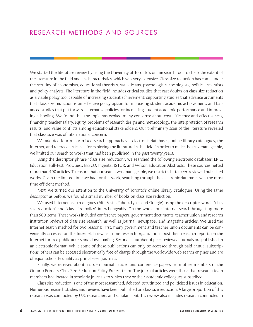## RESEARCH METHODS AND SOURCES

We started the literature review by using the University of Toronto's online search tool to check the extent of the literature in the field and its characteristics, which was very extensive. Class size reduction has come under the scrutiny of economists, educational theorists, statisticians, psychologists, sociologists, political scientists and policy analysts. The literature in the field includes critical studies that cast doubts on class size reduction as a viable policy tool capable of increasing student achievement; supporting studies that advance arguments that class size reduction is an effective policy option for increasing student academic achievement; and balanced studies that put forward alternative policies for increasing student academic performance and improving schooling. We found that the topic has evoked many concerns: about cost efficiency and effectiveness, financing, teacher salary, equity, problems of research design and methodology, the interpretation of research results, and value conflicts among educational stakeholders. Our preliminary scan of the literature revealed that class size was of international concern.

We adopted four major mixed-search approaches – electronic databases, online library catalogues, the Internet, and refereed articles – for exploring the literature in the field. In order to make the task manageable, we limited our search to works that had been published in the past twenty years.

Using the descriptor phrase "class size reduction", we searched the following electronic databases: ERIC, Education Full-Test, ProQuest, EBSCO, Ingenta, JSTOR, and Wilson Education Abstracts. These sources netted more than 400 articles. To ensure that our search was manageable, we restricted it to peer-reviewed published works. Given the limited time we had for this work, searching through the electronic databases was the most time efficient method.

Next, we turned our attention to the University of Toronto's online library catalogues. Using the same descriptor as before, we found a small number of books on class size reduction.

We used Internet search engines (Alta Vista, Yahoo, Lycos and Google) using the descriptor words "class size reduction" and "class size policy" interchangeably. On the whole, our Internet search brought up more than 500 items. These works included conference papers, government documents, teacher union and research institution reviews of class size research, as well as journal, newspaper and magazine articles. We used the Internet search method for two reasons: First, many government and teacher union documents can be conveniently accessed on the Internet. Likewise, some research organizations post their research reports on the Internet for free public access and downloading. Second, a number of peer-reviewed journals are published in an electronic format. While some of these publications can only be accessed through paid annual subscriptions, others can be accessed electronically free of charge through the worldwide web search engines and are of equal scholarly quality as print-based journals.

Finally, we received about a dozen journal articles and conference papers from other members of the Ontario Primary Class Size Reduction Policy Project team. The journal articles were those that research team members had located in scholarly journals to which they or their academic colleagues subscribed.

Class size reduction is one of the most researched, debated, scrutinized and politicized issues in education. Numerous research studies and reviews have been published on class size reduction. A large proportion of this research was conducted by U.S. researchers and scholars, but this review also includes research conducted in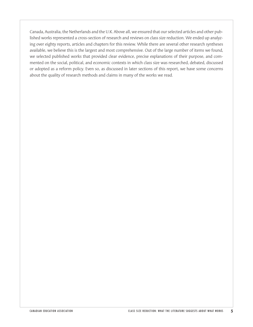Canada, Australia, the Netherlands and the U.K. Above all, we ensured that our selected articles and other published works represented a cross-section of research and reviews on class size reduction. We ended up analyzing over eighty reports, articles and chapters for this review. While there are several other research syntheses available, we believe this is the largest and most comprehensive. Out of the large number of items we found, we selected published works that provided clear evidence, precise explanations of their purpose, and commented on the social, political, and economic contexts in which class size was researched, debated, discussed or adopted as a reform policy. Even so, as discussed in later sections of this report, we have some concerns about the quality of research methods and claims in many of the works we read.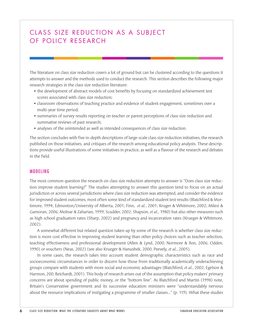# CLASS SIZE REDUCTION AS A SUBJECT OF POLICY RESEARCH

The literature on class size reduction covers a lot of ground but can be clustered according to the questions it attempts to answer and the methods used to conduct the research. This section describes the following major research strategies in the class size reduction literature:

- the development of abstract models of cost benefits by focusing on standardized achievement test scores associated with class size reduction;
- classroom observations of teaching practice and evidence of student engagement, sometimes over a multi-year time period;
- summaries of survey results reporting on teacher or parent perceptions of class size reduction and summative reviews of past research;
- analyses of the unintended as well as intended consequences of class size reduction.

The section concludes with five in-depth descriptions of large-scale class size reduction initiatives, the research published on those initiatives, and critiques of the research among educational policy analysts. These descriptions provide useful illustrations of some initiatives in practice, as well as a flavour of the research and debates in the field.

#### MODELING

The most common question the research on class size reduction attempts to answer is "Does class size reduction improve student learning?" The studies attempting to answer this question tend to focus on an actual jurisdiction or across several jurisdictions where class size reduction was attempted, and consider the evidence for improved student outcomes, most often some kind of standardized student test results (Blatchford & Mortimore, 1994; Edmonton/University of Alberta, 2001; Finn, *et al.*, 2001; Kruger & Whitmore, 2002; Milesi & Gamoran, 2006; Molnar & Zaharian, 1999; Scudder, 2002; Shapson, *et al.*, 1980) but also other measures such as high school graduation rates (Sharp, 2002) and pregnancy and incarceration rates (Krueger & Whitmore, 2002).

A somewhat different but related question taken up by some of the research is whether class size reduction is more cost effective in improving student learning than other policy choices such as teacher selection, teaching effectiveness and professional development (Allen & Lynd, 2000; Normore & Ilon, 2006; Odden, 1990) or vouchers (Neas, 2002) (see also Krueger & Hanushek, 2000; Peevely, *et al.*, 2005).

In some cases, the research takes into account student demographic characteristics such as race and socioeconomic circumstances in order to discern how those from traditionally academically underachieving groups compare with students with more social and economic advantages (Blatchford, *et al.*, 2002; Egelson & Harmon, 200; Reichardt, 2001). This body of research arises out of the assumption that policy makers' primary concerns are about spending of public money, or the "bottom line". As Blatchford and Martin (1998) note, Britain's Conservative government and its successive education ministers were "understandably nervous about the resource implications of instigating a programme of smaller classes…" (p. 119). What these studies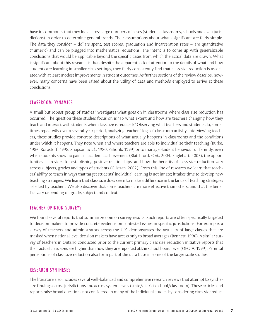have in common is that they look across large numbers of cases (students, classrooms, schools and even jurisdictions) in order to determine general trends. Their assumptions about what's significant are fairly simple. The data they consider  $-$  dollars spent, test scores, graduation and incarceration rates  $-$  are quantitative (numeric) and can be plugged into mathematical equations. The intent is to come up with generalizable conclusions that would be applicable beyond the specific cases from which the actual data are drawn. What is significant about this research is that, despite the apparent lack of attention to the details of what and how students are learning in smaller class settings, they fairly consistently find that class size reduction is associated with at least modest improvements in student outcomes. As further sections of the review describe, however, many concerns have been raised about the utility of data and methods employed to arrive at these conclusions.

#### CLASSROOM DYNAMICS

A small but robust group of studies investigates what goes on in classrooms where class size reduction has occurred. The question these studies focus on is "To what extent and how are teachers changing how they teach and interact with students when class size is reduced?" Observing what teachers and students do, sometimes repeatedly over a several-year period, analyzing teachers' logs of classroom activity, interviewing teachers, these studies provide concrete descriptions of what actually happens in classrooms and the conditions under which it happens. They note when and where teachers are able to individualize their teaching (Burke, 1986; Korostoff, 1998; Shapson, *et al.*, 1980; Zahorik, 1999) or to manage student behaviour differently, even when students show no gains in academic achievement (Blatchford, *et al.*, 2004; Englehart, 2007); the opportunities it provides for establishing positive relationships; and how the benefits of class size reduction vary across subjects, grades and types of students (Gilstrap, 2002). From this line of research we learn that teachers' ability to teach in ways that target students' individual learning is not innate; it takes time to develop new teaching strategies. We learn that class size does seem to make a difference in the kinds of teaching strategies selected by teachers. We also discover that some teachers are more effective than others, and that the benefits vary depending on grade, subject and context.

#### TEACHER OPINION SURVEYS

We found several reports that summarize opinion survey results. Such reports are often specifically targeted to decision makers to provide concrete evidence on contested issues in specific jurisdictions. For example, a survey of teachers and administrators across the U.K. demonstrates the actuality of large classes that are masked when national level decision makers have access only to broad averages (Bennett, 1996). A similar survey of teachers in Ontario conducted prior to the current primary class size reduction initiative reports that their actual class sizes are higher than how they are reported at the school board level (OECTA, 1999). Parental perceptions of class size reduction also form part of the data base in some of the larger scale studies.

#### RESEARCH SYNTHESES

The literature also includes several well-balanced and comprehensive research reviews that attempt to synthesize findings across jurisdictions and across system levels (state/district/school/classroom). These articles and reports raise broad questions not considered in many of the individual studies by considering class size reduc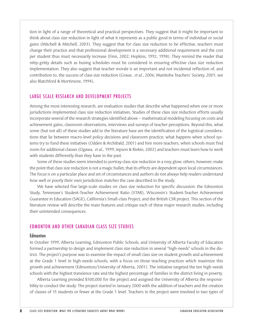tion in light of a range of theoretical and practical perspectives. They suggest that it might be important to think about class size reduction in light of what it represents as a public good in terms of individual or social gains (Mitchell & Mitchell, 2003). They suggest that for class size reduction to be effective, teachers must change their practice and that professional development is a necessary additional requirement and the cost per student thus must necessarily increase (Finn, 2002; Hopkins, 1992, 1998). They remind the reader that nitty-gritty details such as busing schedules must be considered in ensuring effective class size reduction implementation. They also suggest that teacher morale is an important and not incidental reflection of, and contribution to, the success of class size reduction (Graue, *et al.*, 2006; Manitoba Teachers' Society, 2001; see also Blatchford & Mortimore, 1994).

#### LARGE SCALE RESEARCH AND DEVELOPMENT PROJECTS

Among the most interesting research, are evaluation studies that describe what happened when one or more jurisdictions implemented class size reduction initiatives. Studies of these class size reduction efforts usually incorporate several of the research strategies identified above – mathematical modeling focusing on costs and achievement gains, classroom observations, interviews and surveys of teacher perceptions. Beyond this, what some (but not all) of these studies add to the literature base are the identification of the logistical considerations that lie between macro-level policy decisions and classroom practice; what happens when school systems try to fund these initiatives (Odden & Archibald, 2001) and hire more teachers, when schools must find room for additional classes (Ogawa, *et al.*, 1999; Jepson & Rivkin, 2002) and teachers must learn how to work with students differently than they have in the past.

Some of these studies seem intended to portray class size reduction in a rosy glow; others, however, make the point that class size reduction is not a magic bullet, that its effects are dependent upon local circumstances. The focus is on a particular place and set of circumstances and authors do not always help readers understand how well or poorly their own jurisdiction matches the case described in the study.

We have selected five large-scale studies on class size reduction for specific discussion: the Edmonton Study, Tennessee's Student-Teacher Achievement Ratio (STAR), Wisconsin's Student-Teacher Achievement Guarantee in Education (SAGE), California's Small-class Project, and the British CSR project. This section of the literature review will describe the main features and critique each of these major research studies, including their unintended consequences.

## EDMONTON AND OTHER CANADIAN CLASS SIZE STUDIES

#### **Edmonton**

In October 1999, Alberta Learning, Edmonton Public Schools, and University of Alberta Faculty of Education formed a partnership to design and implement class size reduction in several "high-needs" schools in the district. The project's purpose was to examine the impact of small class size on student growth and achievement at the Grade 1 level in high-needs schools, with a focus on those teaching practices which maximize this growth and achievement (Edmonton/University of Alberta, 2001). The initiative targeted the ten high-needs schools with the highest transience rate and the highest percentage of families in the district living in poverty.

Alberta Learning provided \$500,000 for the project and assigned the University of Alberta the responsibility to conduct the study. The project started in January 2000 with the addition of teachers and the creation of classes of 15 students or fewer at the Grade 1 level. Teachers in the project were involved in two types of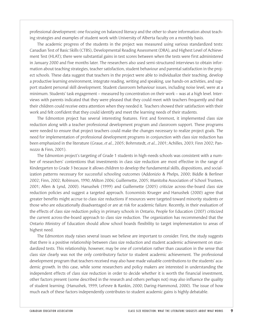professional development: one focusing on balanced literacy and the other to share information about teaching strategies and examples of student work with University of Alberta faculty on a monthly basis.

The academic progress of the students in the project was measured using various standardized tests: Canadian Test of Basic Skills (CTBS), Developmental Reading Assessment (DRA), and Highest Level of Achievement Test (HLAT); there were substantial gains in test scores between when the tests were first administered in January 2000 and five months later. The researchers also used semi-structured interviews to obtain information about teaching strategies, teacher satisfaction, student behaviour and parental satisfaction in the project schools. These data suggest that teachers in the project were able to individualize their teaching, develop a productive learning environment, integrate reading, writing and speaking, use hands-on activities, and support student personal skill development. Student classroom behaviour issues, including noise level, were at a minimum. Students' task engagement – measured by concentration on their work – was at a high level. Interviews with parents indicated that they were pleased that they could meet with teachers frequently and that their children could receive extra attention when they needed it. Teachers showed their satisfaction with their work and felt confident that they could identify and meet the learning needs of their students.

The Edmonton project has several interesting features. First and foremost, it implemented class size reduction along with a teacher professional development program and classroom support. These programs were needed to ensure that project teachers could make the changes necessary to realize project goals. The need for implementation of professional development programs in conjunction with class size reduction has been emphasized in the literature (Graue, *et al.*, 2005; Bohrnstedt, *et al.*, 2001; Achilles, 2003; Finn 2002; Pannozzo & Finn, 2001).

The Edmonton project's targeting of Grade 1 students in high-needs schools was consistent with a number of researchers' contentions that investments in class size reduction are most effective in the range of Kindergarten to Grade 3 because it allows children to develop the fundamental skills, dispositions, and socialization patterns necessary for successful schooling outcomes (Addonizio & Phelps, 2000; Biddle & Berliner 2002; Finn, 2002; Robinson, 1990; Milton 2006; Guillemette, 2005; Manitoba Association of School Trustees, 2001; Allen & Lynd, 2000). Hanushek (1999) and Guillemette (2005) criticize across-the-board class size reduction policies and suggest a targeted approach. Economists Krueger and Hanushek (2000) agree that greater benefits might accrue to class size reductions if resources were targeted toward minority students or those who are educationally disadvantaged or are at risk for academic failure. Recently, in their evaluation of the effects of class size reduction policy in primary schools in Ontario, People for Education (2007) criticized the current across-the-board approach to class size reduction. The organization has recommended that the Ontario Ministry of Education should allow school boards flexibility to target implementation to areas of highest need.

The Edmonton study raises several issues we believe are important to consider. First, the study suggests that there is a positive relationship between class size reduction and student academic achievement on standardized tests. This relationship, however, may be one of correlation rather than causation in the sense that class size clearly was not the only contributory factor to student academic achievement. The professional development program that teachers received may also have made valuable contributions to the students' academic growth. In this case, while some researchers and policy makers are interested in understanding the independent effects of class size reduction in order to decide whether it is worth the financial investment, other factors present (some described in the research and others perhaps not) may also influence the quality of student learning. (Hanushek, 1999; LeFevre & Rankin, 2000; Daring-Hammond, 2000). The issue of how much each of these factors independently contributes to student academic gains is highly debatable.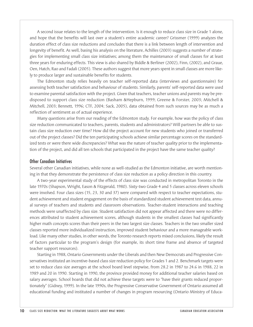A second issue relates to the length of the intervention. Is it enough to reduce class size in Grade 1 alone, and hope that the benefits will last over a student's entire academic career? Grissmer (1999) analyzes the duration effect of class size reductions and concludes that there is a link between length of intervention and longevity of benefit. As well, basing his analysis on the literature, Achilles (2003) suggests a number of strategies for implementing small class size initiatives; among them the maintenance of small classes for at least three years for enduring effects. This view is also shared by Biddle & Berliner (2002), Finn, (2002), and Graue, Oen, Hatch, Rao and Fadali (2005). These authors suggest that more years spent in small classes are more likely to produce larger and sustainable benefits for students.

The Edmonton study relies heavily on teacher self-reported data (interviews and questionnaire) for assessing both teacher satisfaction and behaviour of students. Similarly, parents' self-reported data were used to examine parental satisfaction with the project. Given that teachers, teacher unions and parents may be predisposed to support class size reduction (Basham &Hepburn, 1999; Greene & Forster, 2003; Mitchell & Mitchell, 2003; Bennett, 1996; CTF, 2004; Sack, 2005), data obtained from such sources may be as much a reflection of sentiment as of actual experience.

Many questions arise from our reading of the Edmonton study. For example, how was the policy of class size reduction communicated to teachers, parents, students and administrators? Will partners be able to sustain class size reduction over time? How did the project account for new students who joined or transferred out of the project classes? Did the ten participating schools achieve similar percentage scores on the standardized tests or were there wide discrepancies? What was the nature of teacher quality prior to the implementation of the project, and did all ten schools that participated in the project have the same teacher quality?

#### Other Canadian Initiatives

Several other Canadian initiatives, while none as well-studied as the Edmonton initiative, are worth mentioning in that they demonstrate the persistence of class size reduction as a policy direction in this country.

A two-year experimental study of the effects of class size was conducted in metropolitan Toronto in the late 1970s (Shapson, Wright, Eason & Fitzgerald, 1980). Sixty-two Grade 4 and 5 classes across eleven schools were involved. Four class sizes (15, 23, 30 and 37) were compared with respect to teacher expectations, student achievement and student engagement on the basis of standardized student achievement test data, annual surveys of teachers and students and classroom observations. Teacher-student interactions and teaching methods were unaffected by class size. Student satisfaction did not appear affected and there were no differences attributed to student achievement scores, although students in the smallest classes had significantly higher math concepts scores than their peers in the two largest size classes. Teachers in the two smaller sized classes reported more individualized instruction, improved student behaviour and a more manageable workload. Like many other studies, in other words, the Toronto research reports mixed conclusions, likely the result of factors particular to the program's design (for example, its short time frame and absence of targeted teacher support resources).

Starting in 1988, Ontario Governments under the Liberals and then New Democrats and Progressive Conservatives instituted an incentive-based class size reduction policy for Grades 1 and 2. Benchmark targets were set to reduce class size averages at the school board level stepwise, from 28.2 in 1987 to 24.6 in 1988, 22 in 1989 and 20 in 1990. Starting in 1990, the province provided money for additional teacher salaries based on salary averages. School boards that did not achieve these targets were to "have their grants reduced proportionately" (Gidney, 1999). In the late 1990s, the Progressive Conservative Government of Ontario assumed all educational funding and instituted a number of changes in program resourcing (Ontario Ministry of Educa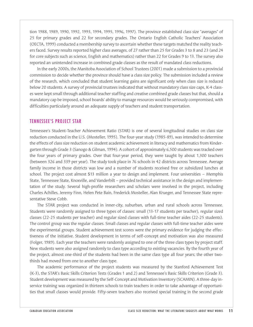tion 1988, 1989, 1990, 1992, 1993, 1994, 1995, 1996, 1997). The province established class size "averages" of 25 for primary grades and 22 for secondary grades. The Ontario English Catholic Teachers' Association (OECTA, 1999) conducted a membership survey to ascertain whether these targets matched the reality teachers faced. Survey results reported higher class averages, of 27 rather than 25 for Grades 3 to 8 and 23 (and 24 for core subjects such as science, English and mathematics) rather than 22 for Grades 9 to 13. The survey also reported an unintended increase in combined grade classes as the result of mandated class reductions.

In the early 2000s, the Manitoba Association of School Trustees (2001) made a submission to a provincial commission to decide whether the province should have a class size policy. The submission included a review of the research, which concluded that student learning gains are significant only when class size is reduced below 20 students. A survey of provincial trustees indicated that without mandatory class size caps, K-4 classes were kept small through additional teacher staffing and creative combined grade classes but that, should a mandatory cap be imposed, school boards' ability to manage resources would be seriously compromised, with difficulties particularly around an adequate supply of teachers and student transportation.

#### TENNESSEE'S PROJECT STAR

Tennessee's Student-Teacher Achievement Ratio (STAR) is one of several longitudinal studies on class size reduction conducted in the U.S. (Mosteller, 1995). The four-year study (1985-89), was intended to determine the effects of class size reduction on student academic achievement in literacy and mathematics from Kindergarten through Grade 3 (Sanogo & Gilman, 1994). A cohort of approximately 6,500 students was tracked over the four years of primary grades. Over that four-year period, they were taught by about 1,300 teachers (between 326 and 339 per year). The study took place in 76 schools in 42 districts across Tennessee. Average family income in those districts was low and a number of students received free or subsidized lunches at school. The project cost almost \$13 million a year to design and implement. Four universities – Memphis State, Tennessee State, Knoxville, and Vanderbilt – provided technical assistance in the design and implementation of the study. Several high-profile researchers and scholars were involved in the project, including Charles Achilles, Jeremy Finn, Helen Pete Bain, Frederick Mosteller, Alan Krueger, and Tennessee State representative Steve Cobb.

The STAR project was conducted in inner-city, suburban, urban and rural schools across Tennessee. Students were randomly assigned to three types of classes: small (13-17 students per teacher), regular sized classes (22-25 students per teacher) and regular sized classes with full-time teacher aides (22-25 students). The control group was the regular classes. Small classes and regular classes with full-time teacher aides were the experimental groups. Student achievement test scores were the primary evidence for judging the effectiveness of the initiative. Student development in terms of self-concept and motivation was also measured (Folger, 1989). Each year the teachers were randomly assigned to one of the three class types by project staff. New students were also assigned randomly to class type according to existing vacancies. By the fourth year of the project, almost one-third of the students had been in the same class type all four years; the other twothirds had moved from one to another class type.

The academic performance of the project students was measured by the Stanford Achievement Test (K-3), the STAR's Basic Skills Criterion Tests (Grades 1 and 2) and Tennessee's Basic Skills Criterion (Grade 3). Student development was measured by the Self-Concept and Motivation Inventory (SCAMIN). A three-day inservice training was organized in thirteen schools to train teachers in order to take advantage of opportunities that small classes would provide. Fifty-seven teachers also received special training in the second grade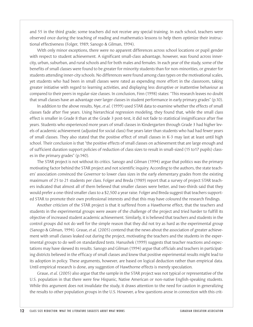and 55 in the third grade; some teachers did not receive any special training. In each school, teachers were observed once during the teaching of reading and mathematics lessons to help them optimize their instructional effectiveness (Folger, 1989; Sanogo & Gilman, 1994).

With only minor exceptions, there were no apparent differences across school locations or pupil gender with respect to student achievement. A significant small-class advantage, however, was found across innercity, urban, suburban, and rural schools and for both males and females. In each year of the study, some of the benefits of small classes were found to be greater for minority students than for non-minorities, or greater for students attending inner-city schools. No differences were found among class types on the motivational scales, yet students who had been in small classes were rated as expending more effort in the classroom, taking greater initiative with regard to learning activities, and displaying less disruptive or inattentive behaviour as compared to their peers in regular-size classes. In conclusion, Finn (1998) states: "This research leaves no doubt that small classes have an advantage over larger classes in student performance in early primary grades" (p.10).

In addition to the above results, Nye, *et al.* (1999) used STAR data to examine whether the effects of small classes fade after five years. Using hierarchical regression modeling, they found that, while the small class effect is smaller in Grade 8 than at the Grade 3 post-test, it did not fade to statistical insignificance after five years. Students who experienced more years of small classes in Kindergarten through Grade 3 had higher levels of academic achievement (adjusted for social class) five years later than students who had had fewer years of small classes. They also stated that the positive effect of small classes in K-3 may last at least until high school. Their conclusion is that "the positive effects of small classes on achievement that are large enough and of sufficient duration support policies of reduction of class sizes to result in small-sized (15 to17 pupils) classes in the primary grades" (p.140).

The STAR project is not without its critics. Sanogo and Gilman (1994) argue that politics was the primary motivating factor behind the STAR project and not scientific inquiry. According to the authors, the state teachers' association convinced the Governor to lower class sizes in the early elementary grades from the existing maximum of 25 to 21 students per class. Folger and Breda (1989) report that a survey of project STAR teachers indicated that almost all of them believed that smaller classes were better, and two-thirds said that they would prefer a one-third smaller class to a \$2,500 a year raise. Folger and Breda suggest that teachers supported STAR to promote their own professional interests and that this may have coloured the research findings.

Another criticism of the STAR project is that it suffered from a Hawthorne effect, that the teachers and students in the experimental groups were aware of the challenge of the project and tried harder to fulfill its objective of increased student academic achievement. Similarly, it is believed that teachers and students in the control groups did not do well for the simple reason that they did not try as hard as the experimental group (Sanogo & Gilman, 1994). Graue, *et al.* (2005) contend that the news about the association of greater achievement with small classes leaked out during the project, motivating the teachers and the students in the experimental groups to do well on standardized tests. Hanushek (1999) suggests that teacher reactions and expectations may have skewed its results. Sanogo and Gilman (1994) argue that officials and teachers in participating districts believed in the efficacy of small classes and knew that positive experimental results might lead to its adoption in policy. These arguments, however, are based on logical deduction rather than empirical data. Until empirical research is done, any suggestion of Hawthorne effects is merely speculation.

Graue, *et al.* (2005) also argue that the sample in the STAR project was not typical or representative of the U.S. population in that there were few Hispanic, Native American or non-native English-speaking students. While this argument does not invalidate the study, it draws attention to the need for caution in generalizing the results to other population groups in the U.S. However, a few questions arose in connection with this crit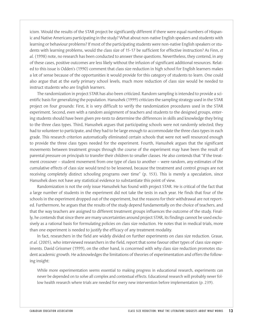icism. Would the results of the STAR project be significantly different if there were equal numbers of Hispanic and Native Americans participating in the study? What about non-native English speakers and students with learning or behaviour problems? If most of the participating students were non-native English speakers or students with learning problems, would the class size of 15-17 be sufficient for effective instruction? As Finn, *et al.* (1998) note, no research has been conducted to answer these questions. Nevertheless, they contend, in any of these cases, positive outcomes are less likely without the infusion of significant additional resources. Related to this issue is Odden's (1990) comment that class size reduction in high school for English learners makes a lot of sense because of the opportunities it would provide for this category of students to learn. One could also argue that at the early primary school levels, much more reduction of class size would be needed to instruct students who are English learners.

The randomization in project STAR has also been criticized. Random sampling is intended to provide a scientific basis for generalizing the population. Hanushek (1999) criticizes the sampling strategy used in the STAR project on four grounds: First, it is very difficult to verify the randomization procedures used in the STAR experiment. Second, even with a random assignment of teachers and students to the designed groups, entering students should have been given pre-tests to determine the differences in skills and knowledge they bring to the three class types. Third, Hanushek argues that participating schools were not randomly selected; they had to volunteer to participate, and they had to be large enough to accommodate the three class types in each grade. This research criterion automatically eliminated certain schools that were not well resourced enough to provide the three class types needed for the experiment. Fourth, Hanushek argues that the significant movements between treatment groups through the course of the experiment may have been the result of parental pressure on principals to transfer their children to smaller classes. He also contends that "if the treatment crossover – student movement from one type of class to another – were random, any estimates of the cumulative effects of class size would tend to be lessened, because the treatment and control groups are not receiving completely distinct schooling programs over time" (p. 153). This is merely a speculation, since Hanushek does not have any statistical evidence to substantiate this point of view.

Randomization is not the only issue Hanushek has found with project STAR. He is critical of the fact that a large number of students in the experiment did not take the tests in each year. He finds that four of the schools in the experiment dropped out of the experiment, but the reasons for their withdrawal are not reported. Furthermore, he argues that the results of the study depend fundamentally on the choice of teachers, and that the way teachers are assigned to different treatment groups influences the outcome of the study. Finally, he contends that since there are many uncertainties around project STAR, its findings cannot be used exclusively as a rational basis for formulating policies on class size reduction. He notes that in medical trials, more than one experiment is needed to justify the efficacy of any treatment modality.

In fact, researchers in the field are widely divided on further experiments on class size reduction. Graue, *et al.* (2005), who interviewed researchers in the field, report that some favour other types of class size experiments. David Grissmer (1999), on the other hand, is concerned with why class size reduction promotes student academic growth. He acknowledges the limitations of theories of experimentation and offers the following insight:

While more experimentation seems essential to making progress in educational research, experiments can never be depended on to solve all complex and contextual effects. Educational research will probably never follow health research where trials are needed for every new intervention before implementation (p. 239).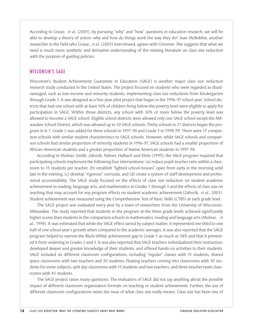According to Graue, *et al.* (2005), by pursuing "why" and "how" questions in education research, we will be able to develop a theory of action: why and how do things work the way they do? Joan McRobbie, another researcher in the field who Graue, *et al.* (2005) interviewed, agrees with Grissmer. She suggests that what we need is much more synthetic and derivative understanding of the existing literature on class size reduction with the purpose of guiding policies.

#### WISCONSIN'S SAGE

Wisconsin's Student Achievement Guarantee in Education (SAGE) is another major class size reduction research study conducted in the United States. The project focused on students who were regarded as disadvantaged, such as low-income and minority students, implementing class size reductions from Kindergarten through Grade 3. It was designed as a five-year pilot project that began in the 1996-97 school year. School districts that had one school with at least 50% of children living below the poverty level were eligible to apply for participation in SAGE. Within those districts, any school with 30% or more below the poverty level was allowed to become a SAGE school. Eligible school districts were allowed only one SAGE school except the Milwaukee School District, which was allowed up to 10 SAGE schools. Thirty schools in 21 districts began the program in K-1. Grade 2 was added for these schools in 1997-98 and Grade 3 in 1998-99. There were 17 comparison schools with similar student characteristics to SAGE schools. However, while SAGE schools and comparison schools had similar proportion of minority students in 1996-97, SAGE schools had a smaller proportion of African-American students and a greater proportion of Native American students in 1997-98.

According to Molnar, Smith, Zahorik, Palmer, Halbach and Ehrle (1999), the SAGE program required that participating schools implement the following four interventions: (a) reduce pupil-teacher ratio within a classroom to 15 students per teacher, (b) establish "lighted school-houses" open from early in the morning until late in the evening, (c) develop "rigorous" curricula, and (d) create a system of staff development and professional accountability. The SAGE study focused on the effects of class size reduction on student academic achievement in reading, language arts, and mathematics at Grades 1 through 3 and the effects of class size on teaching that may account for any program effects on student academic achievement (Zahorik, *et al.*, 2003). Student achievement was measured using the Comprehensive Test of Basic Skills (CTBS) at each grade level.

The SAGE project was evaluated every year by a team of researchers from the University of Wisconsin-Milwaukee. The study reported that students in the program at the three grade levels achieved significantly higher scores than students in the comparison schools in mathematics, reading and language arts (Molnar, *et al.*, 1998). It was estimated that while the SAGE effect varied by subject matter, it represented one third to one half of one school year's growth when compared to the academic averages. It was also reported that the SAGE program helped to narrow the Black-White achievement gap in Grade 1 as much as 38% and that it prevented it from widening in Grades 2 and 3. It was also reported that SAGE teachers individualized their instruction, developed deeper and greater knowledge of their students, and offered hands-on activities to their students. SAGE included six different classroom configurations, including "regular" classes with 15 students, shared space classrooms with two teachers and 30 students, floating teachers coming into classrooms with 30 students for some subjects, split day classrooms with 15 students and two teachers, and three-teacher team classrooms with 45 students.

The SAGE project raises many questions. The evaluators of SAGE did not say anything about the possible impact of different classroom organization formats on teaching or student achievement. Further, the use of different classroom configurations raises the issue of what class size really means. Class size has been one of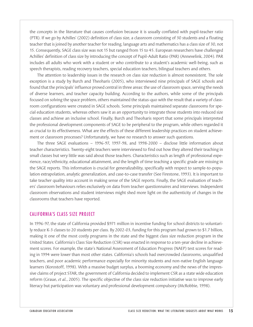the concepts in the literature that causes confusion because it is usually conflated with pupil-teacher ratio (PTR). If we go by Achilles' (2002) definition of class size, a classroom consisting of 30 students and a floating teacher that is joined by another teacher for reading, language arts and mathematics has a class size of 30, not 15. Consequently, SAGE class size was not 15 but ranged from 15 to 45. European researchers have challenged Achilles' definition of class size by introducing the concept of Pupil-Adult Ratio (PAR) (Annevelink, 2004). PAR includes all adults who work with a student or who contribute to a student's academic well-being, such as speech therapists, reading recovery teachers, special education teachers, bilingual teachers and others.

The attention to leadership issues in the research on class size reduction is almost nonexistent. The sole exception is a study by Burch and Theoharis (2005), who interviewed nine principals of SAGE schools and found that the principals' influence proved central in three areas: the use of classroom space, serving the needs of diverse learners, and teacher capacity building. According to the authors, while some of the principals focused on solving the space problem, others maintained the status-quo with the result that a variety of classroom configurations were created in SAGE schools. Some principals maintained separate classrooms for special education students, whereas others saw it as an opportunity to integrate those students into reduced size classes and achieve an inclusive school. Finally, Burch and Theoharis report that some principals interpreted the professional development components of SAGE to be peripheral to the program, while others regarded it as crucial to its effectiveness. What are the effects of these different leadership practices on student achievement or classroom processes? Unfortunately, we have no research to answer such questions.

The three SAGE evaluations – 1996-97, 1997-98, and 1998-2000 – disclose little information about teacher characteristics. Twenty-eight teachers were interviewed to find out how they altered their teaching in small classes but very little was said about those teachers. Characteristics such as length of professional experience, race/ethnicity, educational attainment, and the length of time teaching a specific grade are missing in the SAGE reports. This information is crucial for generalizability, specifically with respect to sample-to-population extrapolation, analytic generalization, and case-to-case transfer (See Firestone, 1993). It is important to take teacher quality into account in making sense of the SAGE reports. Finally, the SAGE evaluation of teachers' classroom behaviours relies exclusively on data from teacher questionnaires and interviews. Independent classroom observations and student interviews might shed more light on the authenticity of changes in the classrooms that teachers have reported.

#### CALIFORNIA'S CLASS SIZE PROJECT

In 1996-97, the state of California provided \$971 million in incentive funding for school districts to voluntarily reduce K-3 classes to 20 students per class. By 2002-03, funding for this program had grown to \$1.7 billion, making it one of the most costly programs in the state and the biggest class size reduction program in the United States. California's Class Size Reduction (CSR) was enacted in response to a ten-year decline in achievement scores. For example, the state's National Assessment of Education Progress (NAEP) test scores for reading in 1994 were lower than most other states. California's schools had overcrowded classrooms, unqualified teachers, and poor academic performance especially for minority students and non-native English language learners (Korostoff, 1998). With a massive budget surplus, a booming economy and the news of the impressive claims of project STAR, the government of California decided to implement CSR as a state wide education reform (Graue, *et al.*, 2005). The specific objective of the class size reduction initiative was to improve early literacy but participation was voluntary and professional development compulsory (McRobbie, 1998).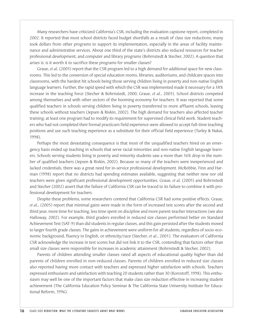Many researchers have criticized California's CSR, including the evaluation capstone report, completed in 2002. It reported that most school districts faced budget shortfalls as a result of class size reductions; many took dollars from other programs to support its implementation, especially in the areas of facility maintenance and administrative services. About one third of the state's districts also reduced resources for teacher professional development, and computer and library programs (Bohrnstedt & Stecher, 2002). A question that arises is: is it worth it to sacrifice these programs for smaller classes?

Graue, *et al.* (2005) report that the CSR program led to a high demand for additional space for new classrooms. This led to the conversion of special education rooms, libraries, auditoriums, and childcare spaces into classrooms, with the hardest hit schools being those serving children living in poverty and non-native English language learners. Further, the rapid speed with which the CSR was implemented made it necessary for a 38% increase in the teaching force (Stecher & Bohrnstedt, 2000; Graue, *et al.*, 2005). School districts competed among themselves and with other sectors of the booming economy for teachers. It was reported that some qualified teachers in schools serving children living in poverty transferred to more affluent schools, leaving these schools without teachers (Jepsen & Rivkin, 2002). The high demand for teachers also affected teacher training; at least one program had to modify its requirement for supervised clinical field work. Student teachers who had not completed their formal practicum field experience were allowed to accept full-time teaching positions and use such teaching experience as a substitute for their official field experience (Turley & Nakai, 1998).

Perhaps the most devastating consequence is that most of the unqualified teachers hired on an emergency basis ended up teaching in schools that serve racial minorities and non-native English language learners. Schools serving students living in poverty and minority students saw a more than 16% drop in the number of qualified teachers (Jepsen & Rivkin, 2002). Because so many of the teachers were inexperienced and lacked credentials, there was a great need for in-service professional development. McRobbie, Finn and Harman (1998) report that no districts had spending estimates available, suggesting that neither new nor old teachers were given significant professional development opportunities. Graue, *et al.* (2005) and Bohrnstedt and Stecher (2002) assert that the failure of California CSR can be traced to its failure to combine it with professional development for teachers.

Despite these problems, some researchers contend that California CSR had some positive effects. Graue, *et al.*, (2005) report that minimal gains were made in the form of increased test scores after the second and third year, more time for teaching, less time spent on discipline and more parent-teacher interactions (see also Halloway, 2002). For example, third graders enrolled in reduced size classes performed better on Standard Achievement Test (SAT-9) than did students in regular classes, and this gain persisted after the students moved to larger fourth grade classes. The gains in achievement were uniform for all students, regardless of socio-economic background, fluency in English, or ethnicity/race (Stecher, *et al.*, 2001). The evaluators of California CSR acknowledge the increase in test scores but did not link it to the CSR, contending that factors other than small size classes were responsible for increases in academic attainment (Bohrnstedt & Stecher, 2002).

Parents of children attending smaller classes rated all aspects of educational quality higher than did parents of children enrolled in non-reduced classes. Parents of children enrolled in reduced size classes also reported having more contact with teachers and expressed higher satisfaction with schools. Teachers expressed enthusiasm and satisfaction with teaching 20 students rather than 30 (Korostoff, 1998). This enthusiasm may well be one of the important factors that make class size reduction effective in increasing student achievement (The California Education Policy Seminar & The California State University Institute for Educational Reform, 1996).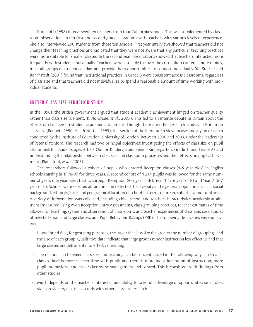Korostoff (1998) interviewed ten teachers from four California schools. This was supplemented by classroom observations in ten first and second grade classrooms with teachers with various levels of experience. She also interviewed 200 students from those ten schools. First year interviews showed that teachers did not change their teaching practices and indicated that they were not aware that any particular teaching practices were more suitable for smaller classes. In the second year, observations showed that teachers interacted more frequently with students individually. Teachers were also able to cover the curriculum contents more rapidly, meet all groups of students all day, and provide them opportunities to connect individually. Yet Stecher and Bohrnstedt (2001) found that instructional practices in Grade 3 were consistent across classrooms, regardless of class size and that teachers did not individualize or spend a reasonable amount of time working with individual students.

#### BRITISH CLASS SIZE REDUCTION STUDY

In the 1990s, the British government argued that student academic achievement hinged on teacher quality rather than class size (Bennett, 1996; Graue, *et al.*, 2005). This led to an intense debate in Britain about the effects of class size on student academic attainment. Though there are other research studies in Britain on class size (Bennett, 1996, Hall & Nuttall, 1999), this section of the literature review focuses mostly on research conducted by the Institute of Education, University of London, between 2000 and 2003, under the leadership of Peter Blatchford. The research had two principal objectives: investigating the effects of class size on pupil attainment for students ages 4 to 7 (Junior Kindergarten, Senior Kindergarten, Grade 1, and Grade 2) and understanding the relationship between class size and classroom processes and their effects on pupil achievement (Blatchford, *et al.*, 2003).

The researchers followed a cohort of pupils who entered Reception classes (4-5 year olds) in English schools starting in 1996-97 for three years. A second cohort of 4,244 pupils was followed for the same number of years one year later; that is, through Reception (4-5 year olds), Year 1 (5-6 year olds) and Year 2 (6-7 year olds). Schools were selected at random and reflected the diversity in the general population such as social background, ethnicity/race, and geographical location of schools in terms of urban, suburban, and rural areas. A variety of information was collected, including child, school and teacher characteristics, academic attainment (measured using Avon Reception Entry Assessment), class grouping practices, teacher estimates of time allowed for teaching, systematic observation of classrooms, and teacher experiences of class size; case studies of selected small and large classes, and Pupil Behaviour Ratings (PBR). The following discoveries were uncovered:

- 1. It was found that, for grouping purposes, the larger the class size the greater the number of groupings and the size of each group. Qualitative data indicate that large groups render instruction less effective and that large classes are detrimental to effective learning.
- 2. The relationship between class size and teaching can be conceptualized in the following ways: in smaller classes there is more teacher time with pupils and there is more individualization of instruction, more pupil interactions, and easier classroom management and control. This is consistent with findings from other studies.
- 3. Much depends on the teacher's interest in and ability to take full advantage of opportunities small class sizes provide. Again, this accords with other class size research.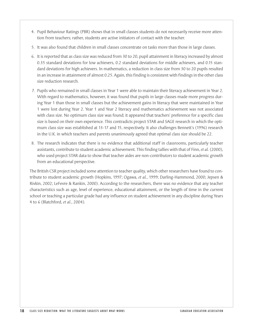- 4. Pupil Behaviour Ratings (PBR) shows that in small classes students do not necessarily receive more attention from teachers; rather, students are active initiators of contact with the teacher.
- 5. It was also found that children in small classes concentrate on tasks more than those in large classes.
- 6. It is reported that as class size was reduced from 30 to 20, pupil attainment in literacy increased by almost 0.35 standard deviations for low achievers, 0.2 standard deviations for middle achievers, and 0.15 standard deviations for high achievers. In mathematics, a reduction in class size from 30 to 20 pupils resulted in an increase in attainment of almost 0.25. Again, this finding is consistent with findings in the other class size reduction research.
- 7. Pupils who remained in small classes in Year 1 were able to maintain their literacy achievement in Year 2. With regard to mathematics, however, it was found that pupils in large classes made more progress during Year 1 than those in small classes but the achievement gains in literacy that were maintained in Year 1 were lost during Year 2. Year 1 and Year 2 literacy and mathematics achievement was not associated with class size. No optimum class size was found; it appeared that teachers' preference for a specific class size is based on their own experience. This contradicts project STAR and SAGE research in which the optimum class size was established at 13-17 and 15, respectively. It also challenges Bennett's (1996) research in the U.K. in which teachers and parents unanimously agreed that optimal class size should be 22.
- 8. The research indicates that there is no evidence that additional staff in classrooms, particularly teacher assistants, contribute to student academic achievement. This finding tallies with that of Finn, *et al.* (2000), who used project STAR data to show that teacher aides are non-contributors to student academic growth from an educational perspective.

The British CSR project included some attention to teacher quality, which other researchers have found to contribute to student academic growth (Hopkins, 1997; Ogawa, *et al.*, 1999; Darling-Hammond, 2000; Jepsen & Rivkin, 2002; LeFevre & Rankin, 2000). According to the researchers, there was no evidence that any teacher characteristics such as age, level of experience, educational attainment, or the length of time in the current school or teaching a particular grade had any influence on student achievement in any discipline during Years 4 to 6 (Blatchford, *et al.*, 2004).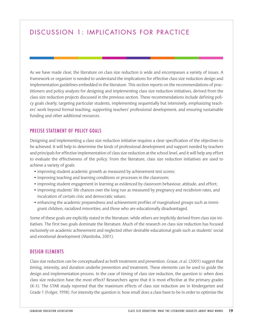# DISCUSSION 1: IMPLICATIONS FOR PRACTICE

As we have made clear, the literature on class size reduction is wide and encompasses a variety of issues. A framework or organizer is needed to understand the implications for effective class size reduction design and implementation guidelines embedded in the literature. This section reports on the recommendations of practitioners and policy analysts for designing and implementing class size reduction initiatives, derived from the class size reduction projects discussed in the previous section. These recommendations include defining policy goals clearly, targeting particular students, implementing sequentially but intensively, emphasizing teachers' work beyond formal teaching, supporting teachers' professional development, and ensuring sustainable funding and other additional resources.

#### PRECISE STATEMENT OF POLICY GOALS

Designing and implementing a class size reduction initiative requires a clear specification of the objectives to be achieved. It will help to determine the kinds of professional development and support needed by teachers and principals for effective implementation of class size reduction at the school level, and it will help any effort to evaluate the effectiveness of the policy. From the literature, class size reduction initiatives are used to achieve a variety of goals:

- improving student academic growth as measured by achievement test scores;
- improving teaching and learning conditions or processes in the classroom;
- improving student engagement in learning as evidenced by classroom behaviour, attitude, and effort;
- improving students' life chances over the long run as measured by pregnancy and recidivism rates, and inculcation of certain civic and democratic values;
- enhancing the academic preparedness and achievement profiles of marginalized groups such as immigrant children, racialized minorities, and those who are educationally disadvantaged.

Some of these goals are explicitly stated in the literature, while others are implicitly derived from class size initiatives. The first two goals dominate the literature. Much of the research on class size reduction has focused exclusively on academic achievement and neglected other desirable educational goals such as students' social and emotional development (Manitoba, 2001).

#### DESIGN ELEMENTS

Class size reduction can be conceptualized as both treatment and prevention. Graue, *et al.* (2005) suggest that timing, intensity, and duration underlie prevention and treatment. These elements can be used to guide the design and implementation process. In the case of timing of class size reduction, the question is: when does class size reduction have the most effect? Researchers agree that it is most effective at the primary grades (K-3). The STAR study reported that the maximum effects of class size reduction are in Kindergarten and Grade 1 (Folger, 1998). For intensity the question is: how small does a class have to be in order to optimize the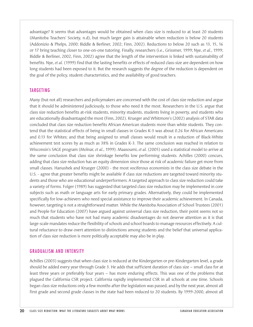advantage? It seems that advantages would be obtained when class size is reduced to at least 20 students (Manitoba Teachers' Society, n.d), but much larger gain is attainable when reduction is below 20 students (Addonizio & Phelps, 2000; Biddle & Berliner, 2002; Finn, 2002). Reductions to below 20 such as 13, 15, 16 or 17 bring teaching closer to one-on-one tutoring. Finally, researchers (i.e., Grissmer, 1999; Nye, *et al.*, 1999; Biddle & Berliner, 2002, Finn, 2002) agree that the length of the intervention is linked with sustainability of benefits. Nye, *et al.* (1999) find that the lasting benefits or effects of reduced class-size are dependent on how long students had been exposed to it. But the research suggests the degree of the reduction is dependent on the goal of the policy, student characteristics, and the availability of good teachers.

## TARGETING

Many (but not all) researchers and policymakers are concerned with the cost of class size reduction and argue that it should be administered judiciously, to those who need it the most. Researchers in the U.S. argue that class size reduction benefits at-risk students, minority students, students living in poverty, and students who are educationally disadvantaged the most (Finn, 2002). Krueger and Whitmore's (2002) analysis of STAR data concluded that class size reduction benefits African American students more than white students. They contend that the statistical effects of being in small classes in Grades K-3 was about 0.26 for African Americans and 0.13 for Whites; and that being assigned to small classes would result in a reduction of Black-White achievement test scores by as much as 38% in Grades K-3. The same conclusion was reached in relation to Wisconsin's SAGE program (Molnar, *et al.*, 1999). Maasoumi, *et al.* (2005) used a statistical model to arrive at the same conclusion that class size shrinkage benefits low performing students. Achilles (2000) concurs, adding that class size reduction has an equity dimension since those at risk of academic failure get more from small classes. Hanushek and Krueger (2000) - the most vociferous economists in the class size debate in the U.S. - agree that greater benefits might be available if class size reductions are targeted toward minority students and those who are educational underperformers. A targeted approach to class size reduction could take a variety of forms. Folger (1989) has suggested that targeted class size reduction may be implemented in core subjects such as math or language arts for early primary grades. Alternatively, they could be implemented specifically for low-achievers who need special assistance to improve their academic achievement. In Canada, however, targeting is not a straightforward matter. While the Manitoba Association of School Trustees (2001) and People for Education (2007) have argued against universal class size reduction, their point seems not so much that students who have not had many academic disadvantages do not deserve attention as it is that large-scale mandates reduce the flexibility of schools and school boards to manage resources effectively. A cultural reluctance to draw overt attention to distinctions among students and the belief that universal application of class size reduction is more politically acceptable may also be in play.

#### GRADUALISM AND INTENSITY

Achilles (2003) suggests that when class size is reduced at the Kindergarten or pre-Kindergarten level, a grade should be added every year through Grade 3. He adds that sufficient duration of class size – small class for at least three years or preferably four years – has more enduring effects. This was one of the problems that plagued the California CSR project. California rapidly implemented CSR in all schools at one time. Schools began class size reductions only a few months after the legislation was passed, and by the next year, almost all first grade and second grade classes in the state had been reduced to 20 students. By 1999-2000, almost all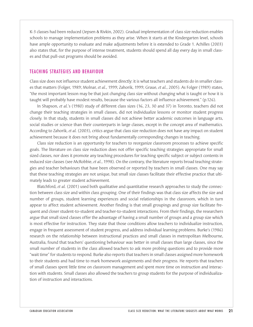K-3 classes had been reduced (Jepsen & Rivkin, 2002). Gradual implementation of class size reduction enables schools to manage implementation problems as they arise. When it starts at the Kindergarten level, schools have ample opportunity to evaluate and make adjustments before it is extended to Grade 1. Achilles (2003) also states that, for the purpose of intense treatment, students should spend all day every day in small classes and that pull-out programs should be avoided.

#### TEACHING STRATEGIES AND BEHAVIOUR

Class size does not influence student achievement directly: it is what teachers and students do in smaller classes that matters (Folger, 1989; Molnar, *et al.*, 1999; Zahorik, 1999; Graue, *et al.*, 2005). As Folger (1989) states, "the most important lesson may be that just changing class size without changing what is taught or how it is taught will probably have modest results, because the various factors all influence achievement." (p.126).

In Shapson, *et al.*'s (1980) study of different class sizes (16, 23, 30 and 37) in Toronto, teachers did not change their teaching strategies in small classes, did not individualize lessons or monitor student progress closely. In that study, students in small classes did not achieve better academic outcomes in language arts, social studies or science than their counterparts in large classes, except in the concept area of mathematics. According to Zahorik, *et al.* (2003), critics argue that class size reduction does not have any impact on student achievement because it does not bring about fundamentally corresponding changes in teaching.

Class size reduction is an opportunity for teachers to reorganize classroom processes to achieve specific goals. The literature on class size reduction does not offer specific teaching strategies appropriate for small sized classes, nor does it promote any teaching procedures for teaching specific subject or subject contents in reduced size classes (see McRobbie, *et al.*, 1998). On the contrary, the literature reports broad teaching strategies and teacher behaviours that have been observed or reported by teachers in small classes. One may say that these teaching strategies are not unique, but small size classes facilitate their effective practice that ultimately leads to greater student achievement.

Blatchford, *et al.* (2001) used both qualitative and quantitative research approaches to study the connection between class size and within class grouping. One of their findings was that class size affects the size and number of groups, student learning experiences and social relationships in the classroom, which in turn appear to affect student achievement. Another finding is that small groupings and group size facilitate frequent and closer student-to-student and teacher-to-student interactions. From their findings, the researchers argue that small sized classes offer the advantage of having a small number of groups and a group size which is most effective for instruction. They state that those conditions allow teachers to individualize instruction, engage in frequent assessment of student progress, and address individual learning problems. Burke's (1986) research on the relationship between instructional practices and small classes in metropolitan Melbourne, Australia, found that teachers' questioning behaviour was better in small classes than large classes, since the small number of students in the class allowed teachers to ask more probing questions and to provide more "wait time" for students to respond. Burke also reports that teachers in small classes assigned more homework to their students and had time to mark homework assignments and their progress. He reports that teachers of small classes spent little time on classroom management and spent more time on instruction and interaction with students. Small classes also allowed the teachers to group students for the purpose of individualization of instruction and interactions.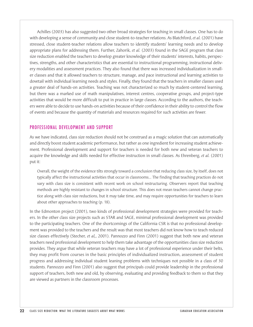Achilles (2003) has also suggested two other broad strategies for teaching in small classes. One has to do with developing a sense of community and close student-to-teacher relations. As Blatchford, *et al.* (2001) have stressed, close student-teacher relations allow teachers to identify students' learning needs and to develop appropriate plans for addressing them. Further, Zahorik, *et al.* (2003) found in the SAGE program that class size reduction enabled the teachers to develop greater knowledge of their students' interests, habits, perspectives, strengths, and other characteristics that are essential to instructional programming, instructional delivery modalities and assessment practices. They also found that there was increased individualization in smaller classes and that it allowed teachers to structure, manage, and pace instructional and learning activities to dovetail with individual learning needs and styles. Finally, they found that the teachers in smaller classes used a greater deal of hands-on activities. Teaching was not characterized so much by student-centered learning, but there was a marked use of math manipulatives, interest centres, cooperative groups, and project-type activities that would be more difficult to put in practice in large classes. According to the authors, the teachers were able to decide to use hands-on activities because of their confidence in their ability to control the flow of events and because the quantity of materials and resources required for such activities are fewer.

#### PROFESSIONAL DEVELOPMENT AND SUPPORT

As we have indicated, class size reduction should not be construed as a magic solution that can automatically and directly boost student academic performance, but rather as one ingredient for increasing student achievement. Professional development and support for teachers is needed for both new and veteran teachers to acquire the knowledge and skills needed for effective instruction in small classes. As Ehrenberg, *et al.* (2001) put it:

Overall, the weight of the evidence tilts strongly toward a conclusion that reducing class size, by itself, does not typically affect the instructional activities that occur in classrooms… The finding that teaching practices do not vary with class size is consistent with recent work on school restructuring. Observers report that teaching methods are highly resistant to changes in school structure. This does not mean teachers cannot change practice along with class size reductions, but it may take time, and may require opportunities for teachers to learn about other approaches to teaching (p. 18).

In the Edmonton project (2001), two kinds of professional development strategies were provided for teachers. In the other class size projects such as STAR and SAGE, minimal professional development was provided to the participating teachers. One of the shortcomings of the California CSR is that no professional development was provided to the teachers and the result was that most teachers did not know how to teach reduced size classes effectively (Stecher, *et al,*, 2001). Pannozzo and Finn (2001) suggest that both new and veteran teachers need professional development to help them take advantage of the opportunities class size reduction provides. They argue that while veteran teachers may have a lot of professional experience under their belts, they may profit from courses in the basic principles of individualized instruction, assessment of student progress and addressing individual student leaning problems with techniques not possible in a class of 30 students. Pannozzo and Finn (2001) also suggest that principals could provide leadership in the professional support of teachers, both new and old, by observing, evaluating and providing feedback to them so that they are viewed as partners in the classroom processes.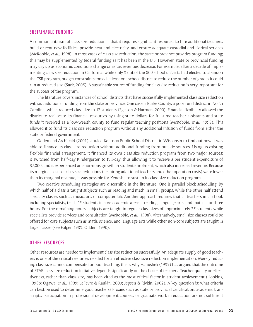#### SUSTAINABLE FUNDING

A common criticism of class size reduction is that it requires significant resources to hire additional teachers, build or rent new facilities, provide heat and electricity, and ensure adequate custodial and clerical services (McRobbie, *et al.*, 1998). In most cases of class size reduction, the state or province provides program funding; this may be supplemented by federal funding as it has been in the U.S. However, state or provincial funding may dry up as economic conditions change or as tax revenues decrease. For example, after a decade of implementing class size reduction in California, while only 9 out of the 800 school districts had elected to abandon the CSR program, budget constraints forced at least one school district to reduce the number of grades it could run at reduced size (Sack, 2005). A sustainable source of funding for class size reduction is very important for the success of the program.

The literature covers instances of school districts that have successfully implemented class size reduction without additional funding from the state or province. One case is Burke County, a poor rural district in North Carolina, which reduced class size to 17 students (Egelson & Harman, 2000). Financial flexibility allowed the district to reallocate its financial resources by using state dollars for full-time teacher assistants and state funds it received as a low-wealth county to fund regular teaching positions (McRobbie, *et al.*, 1998). This allowed it to fund its class size reduction program without any additional infusion of funds from either the state or federal government.

Odden and Archibald (2001) studied Kenosha Public School District in Wisconsin to find out how it was able to finance its class size reduction without additional funding from outside sources. Using its existing flexible financial arrangement, it financed its own class size reduction program from two major sources: it switched from half-day Kindergarten to full-day, thus allowing it to receive a per student expenditure of \$7,000, and it experienced an enormous growth in student enrolment, which also increased revenue. Because its marginal costs of class size reductions (i.e. hiring additional teachers and other operation costs) were lower than its marginal revenue, it was possible for Kenosha to sustain its class size reduction program.

Two creative scheduling strategies are discernible in the literature. One is parallel block scheduling, by which half of a class is taught subjects such as reading and math in small groups, while the other half attend specialty classes such as music, art, or computer lab. Another approach requires that all teachers in a school, including specialists, teach 15 students in core academic areas – reading, language arts, and math – for three hours. For the remaining hours, subjects are taught in regular class sizes of approximately 25 students while specialists provide services and consultation (McRobbie, *et al.*, 1998). Alternatively, small size classes could be offered for core subjects such as math, science, and language arts while other non-core subjects are taught in large classes (see Folger, 1989; Odden, 1990).

#### OTHER RESOURCES

Other resources are needed to implement class size reduction successfully. An adequate supply of good teachers is one of the critical resources needed for an effective class size reduction implementation. Merely reducing class size cannot compensate for poor teaching; this is why Hanushek (1999) has argued that the outcome of STAR class size reduction initiative depends significantly on the choice of teachers. Teacher quality or effectiveness, rather than class size, has been cited as the most critical factor in student achievement (Hopkins, 1998b; Ogawa, *et al.*, 1999; LeFevre & Rankin, 2000; Jepsen & Rivkin, 2002). A key question is: what criteria can best be used to determine good teachers? Proxies such as state or provincial certification, academic transcripts, participation in professional development courses, or graduate work in education are not sufficient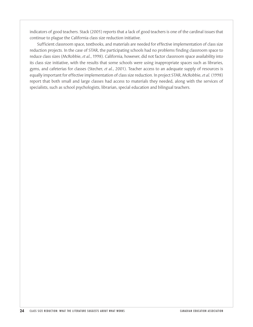indicators of good teachers. Stack (2005) reports that a lack of good teachers is one of the cardinal issues that continue to plague the California class size reduction initiative.

Sufficient classroom space, textbooks, and materials are needed for effective implementation of class size reduction projects. In the case of STAR, the participating schools had no problems finding classroom space to reduce class sizes (McRobbie, *et al.*, 1998). California, however, did not factor classroom space availability into its class size initiative, with the results that some schools were using inappropriate spaces such as libraries, gyms, and cafeterias for classes (Stecher, *et al.*, 2001). Teacher access to an adequate supply of resources is equally important for effective implementation of class size reduction. In project STAR, McRobbie, *et al.* (1998) report that both small and large classes had access to materials they needed, along with the services of specialists, such as school psychologists, librarian, special education and bilingual teachers.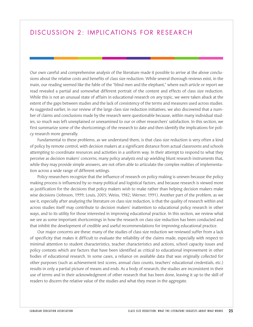## DISCUSSION 2: IMPLICATIONS FOR RESEARCH

Our own careful and comprehensive analysis of the literature made it possible to arrive at the above conclusions about the relative costs and benefits of class size reduction. While several thorough reviews exist, in the main, our reading seemed like the fable of the "blind men and the elephant," where each article or report we read revealed a partial and somewhat different portrait of the content and effects of class size reduction. While this is not an unusual state of affairs in educational research on any topic, we were taken aback at the extent of the gaps between studies and the lack of consistency of the terms and measures used across studies. As suggested earlier, in our review of the large class size reduction initiatives, we also discovered that a number of claims and conclusions made by the research were questionable because, within many individual studies, so much was left unexplained or unexamined to our or other researchers' satisfaction. In this section, we first summarize some of the shortcomings of the research to date and then identify the implications for policy research more generally.

Fundamental to these problems, as we understand them, is that class size reduction is very often a kind of policy by remote control, with decision makers at a significant distance from actual classrooms and schools attempting to coordinate resources and activities in a uniform way. In their attempt to respond to what they perceive as decision makers' concerns, many policy analysts end up wielding blunt research instruments that, while they may provide simple answers, are not often able to articulate the complex realities of implementation across a wide range of different settings.

Policy researchers recognize that the influence of research on policy making is uneven because the policy making process is influenced by so many political and logistical factors, and because research is viewed more as justification for the decisions that policy makers wish to make rather than helping decision makers make wise decisions (Johnson, 1999; Louis, 2005; Weiss, 1982; Werner, 1991). Another part of the problem, as we see it, especially after analyzing the literature on class size reduction, is that the quality of research within and across studies itself may contribute to decision makers' inattention to educational policy research in other ways, and to its utility for those interested in improving educational practice. In this section, we review what we see as some important shortcomings in how the research on class size reduction has been conducted and that inhibit the development of credible and useful recommendations for improving educational practice.

Our major concerns are these: many of the studies of class size reduction we reviewed suffer from a lack of specificity that makes it difficult to evaluate the reliability of the claims made, especially with respect to minimal attention to student characteristics, teacher characteristics and actions, school capacity issues and policy contexts which are factors that have been identified as critical to educational improvement in other bodies of educational research. In some cases, a reliance on available data that was originally collected for other purposes (such as achievement test scores, annual class counts, teachers' educational credentials, etc.) results in only a partial picture of means and ends. As a body of research, the studies are inconsistent in their use of terms and in their acknowledgment of other research that has been done, leaving it up to the skill of readers to discern the relative value of the studies and what they mean in the aggregate.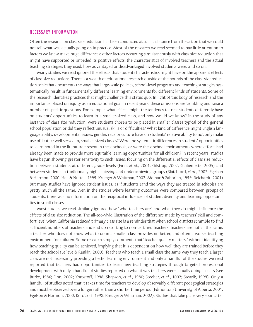#### NECESSARY INFORMATION

Often the research on class size reduction has been conducted at such a distance from the action that we could not tell what was actually going on in practice. Most of the research we read seemed to pay little attention to factors we knew make huge differences: other factors occurring simultaneously with class size reduction that might have supported or impeded its positive effects, the characteristics of involved teachers and the actual teaching strategies they used, how advantaged or disadvantaged involved students were, and so on.

Many studies we read ignored the effects that student characteristics might have on the apparent effects of class size reductions. There is a wealth of educational research outside of the bounds of the class size reduction topic that documents the ways that large-scale policies, school-level programs and teaching strategies systematically result in fundamentally different learning environments for different kinds of students. Some of the research identifies practices that might challenge this status quo. In light of this body of research and the importance placed on equity as an educational goal in recent years, these omissions are troubling and raise a number of specific questions. For example, what effects might the tendency to treat students differently have on students' opportunities to learn in a smaller-sized class, and how would we know? In the study of any instance of class size reduction, were students chosen to be placed in smaller classes typical of the general school population or did they reflect unusual skills or difficulties? What kind of difference might English language ability, developmental issues, gender, race or culture have on students' relative ability to not only make use of, but be well served in, smaller-sized classes? Were the systematic differences in students' opportunities to learn noted in the literature present in these schools, or were these school environments where efforts had already been made to provide more equitable learning opportunities for all children? In recent years, studies have begun showing greater sensitivity to such issues, focusing on the differential effects of class size reduction between students at different grade levels (Finn, *et al.*, 2001; Gilstrap, 2002; Guiliemette, 2005) and between students in traditionally high achieving and underachieving groups (Blatchford, *et al.*, 2002; Egelson & Harmon, 2000; Hall & Nuttall, 1999; Krueger & Whitman, 2002; Molnar & Zahorian, 1999; Reichardt, 2001) but many studies have ignored student issues, as if students (and the ways they are treated in schools) are pretty much all the same. Even in the studies where learning outcomes were compared between groups of students, there was no information on the reciprocal influences of student diversity and learning opportunities in small classes.

Most studies we read similarly ignored how "who teachers are" and what they do might influence the effects of class size reduction. The all-too-vivid illustration of the difference made by teachers' skill and comfort level when California reduced primary class size is a reminder that when school districts scramble to find sufficient numbers of teachers and end up resorting to non-certified teachers, teachers are not all the same; a teacher who does not know what to do in a smaller class provides no better, and often a worse, teaching environment for children. Some research simply comments that "teacher quality matters," without identifying how teaching quality can be achieved, implying that it is dependent on how well they are trained before they reach the school (LeFeve & Rankin, 2000). Teachers who teach a small class the same way they teach a larger class are not necessarily providing a better learning environment and only a handful of the studies we read reported that teachers had opportunities to learn new teaching strategies through targeted professional development with only a handful of studies reported on what it was teachers were actually doing in class (see Burke, 1986; Finn, 2002; Korostoff, 1998; Shapson, *et al.*, 1980; Steeher, *et al.*, 1002; Stearik, 1999). Only a handful of studies noted that it takes time for teachers to develop observably different pedagogical strategies and must be observed over a longer rather than a shorter time period (Edmonton/University of Alberta, 2001; Egelson & Harmon, 2000; Korotsoff, 1998; Kreuger & Whitman, 2002). Studies that take place very soon after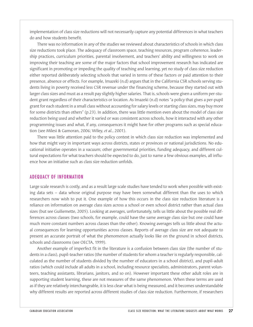implementation of class size reductions will not necessarily capture any potential differences in what teachers do and how students benefit.

There was no information in any of the studies we reviewed about characteristics of schools in which class size reductions took place. The adequacy of classroom space, teaching resources, program coherence, leadership practices, curriculum priorities, parental involvement, and teachers' ability and willingness to work on improving their teaching are some of the major factors that school improvement research has indicated are significant in promoting or impeding the quality of teaching and learning, yet no study of class size reduction either reported deliberately selecting schools that varied in terms of these factors or paid attention to their presence, absence or effects. For example, Imazeki (n.d) argues that in the California CSR schools serving students living in poverty received less CSR revenue under the financing scheme, because they started out with larger class sizes and must as a result pay slightly higher salaries. That is, schools were given a uniform per-student grant regardless of their characteristics or location. As Imazeki (n.d) notes "a policy that gives a per-pupil grant for each student in a small class without accounting for salary levels or starting class sizes, may buy more for some districts than others" (p.23). In addition, there was little mention even about the model of class size reduction being used and whether it varied or was consistent across schools, how it interacted with any other programming issues and what, if any, consequences it might have for other programs such as special education (see Milesi & Gamoran, 2006; Wiley, *et al.*, 2001).

There was little attention paid to the policy context in which class size reduction was implemented and how that might vary in important ways across districts, states or provinces or national jurisdictions. No educational initiative operates in a vacuum; other governmental priorities, funding adequacy, and different cultural expectations for what teachers should be expected to do, just to name a few obvious examples, all influence how an initiative such as class size reduction unfolds.

#### ADEQUACY OF INFORMATION

Large scale research is costly, and as a result large scale studies have tended to work when possible with existing data sets – data whose original purpose may have been somewhat different than the uses to which researchers now wish to put it. One example of how this occurs in the class size reduction literature is a reliance on information on average class sizes across a school or even school district rather than actual class sizes (but see Guiliemette, 2005). Looking at averages, unfortunately, tells us little about the possible real differences across classes (two schools, for example, could have the same average class size but one could have much more constant numbers across classes than the other). Knowing averages tells us little about the actual consequences for learning opportunities across classes. Reports of average class size are not adequate to present an accurate portrait of what the phenomenon actually looks like on the ground in school districts, schools and classrooms (see OECTA, 1999).

Another example of imperfect fit in the literature is a confusion between class size (the number of students in a class), pupil-teacher ratios (the number of students for whom a teacher is regularly responsible, calculated as the number of students divided by the number of educators in a school district), and pupil-adult ratios (which could include all adults in a school, including resource specialists, administrators, parent volunteers, teaching assistants, librarians, janitors, and so on). However important these other adult roles are in supporting student learning, these are not measures of the same phenomenon. When these terms are used as if they are relatively interchangeable, it is less clear what is being measured, and it becomes understandable why different results are reported across different studies of class size reduction. Furthermore, if researchers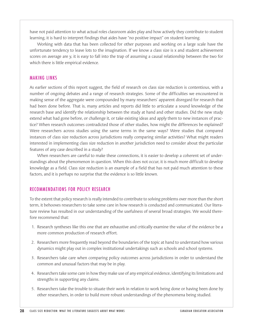have not paid attention to what actual roles classroom aides play and how actively they contribute to student learning, it is hard to interpret findings that aides have "no positive impact" on student learning.

Working with data that has been collected for other purposes and working on a large scale have the unfortunate tendency to leave lots to the imagination. If we know a class size is x and student achievement scores on average are y, it is easy to fall into the trap of assuming a causal relationship between the two for which there is little empirical evidence.

#### MAKING LINKS

As earlier sections of this report suggest, the field of research on class size reduction is contentious, with a number of ongoing debates and a range of research strategies. Some of the difficulties we encountered in making sense of the aggregate were compounded by many researchers' apparent disregard for research that had been done before. That is, many articles and reports did little to articulate a sound knowledge of the research base and identify the relationship between the study at hand and other studies. Did the new study extend what had gone before, or challenge it, or take existing ideas and apply them to new instances of practice? When research outcomes contradicted those of other studies, how might the differences be explained? Were researchers across studies using the same terms in the same ways? Were studies that compared instances of class size reduction across jurisdictions really comparing similar activities? What might readers interested in implementing class size reduction in another jurisdiction need to consider about the particular features of any case described in a study?

When researchers are careful to make these connections, it is easier to develop a coherent set of understandings about the phenomenon in question. When this does not occur, it is much more difficult to develop knowledge as a field. Class size reduction is an example of a field that has not paid much attention to these factors, and it is perhaps no surprise that the evidence is so little known.

## RECOMMENDATIONS FOR POLICY RESEARCH

To the extent that policy research is really intended to contribute to solving problems over more than the short term, it behooves researchers to take some care in how research is conducted and communicated. Our literature review has resulted in our understanding of the usefulness of several broad strategies. We would therefore recommend that:

- 1. Research syntheses like this one that are exhaustive and critically examine the value of the evidence be a more common production of research effort.
- 2. Researchers more frequently read beyond the boundaries of the topic at hand to understand how various dynamics might play out in complex institutional undertakings such as schools and school systems.
- 3. Researchers take care when comparing policy outcomes across jurisdictions in order to understand the common and unusual factors that may be in play.
- 4. Researchers take some care in how they make use of any empirical evidence, identifying its limitations and strengths in supporting any claims.
- 5. Researchers take the trouble to situate their work in relation to work being done or having been done by other researchers, in order to build more robust understandings of the phenomena being studied.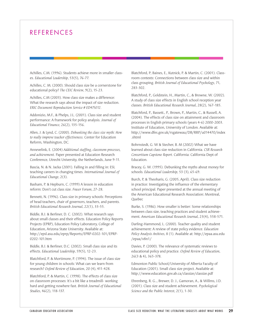## REFERENCES

Achilles, C.M. (1996). Students achieve more in smaller classes. *Educational Leadership*, 53(5), 76-77.

Achilles, C. M. (2000). Should class size be a cornerstone for educational policy? *The CEIC Review*, 9(2), 15-23.

Achilles, C.M (2003). How class size makes a difference: What the research says about the impact of size reduction. *ERIC Document Reproduction Service # ED475012*.

Addonizio, M.F., & Phelps, J.L. (2001). Class size and student performance: A framework for policy analysis. *Journal of Educational Finance*, 26(2), 135-156.

Allen, J. & Lynd, C. (2000). *Debunking the class size myth: How to really improve teacher effectiveness.* Center for Education Reform, Washington, DC.

Annevelink, E. (2004) *Additional staffing, classroom processes, and achievement.* Paper presented at Education Research Conference, Utrecht University, the Netherlands, June 9-11.

Bascia, N. & N. Jacka (2001). Falling in and filling in: ESL teaching careers in changing times. *International Journal of Educational Change*, 2(3).

Basham, P. & Hepburn, C. (1999) A lesson in education reform: Don't cut class size. *Fraser Forum*, 27-28.

Bennett, N. (1996). Class size in primary schools: Perceptions of head teachers, chair of governors, teachers, and parents. *British Educational Research Journal*, 22(1), 33-55.

Biddle, B.J. & Berliner, D. C. (2002). What research says about small classes and their effects. Education Policy Reports Projects (EPRP), Education Policy Laboratory, College of Education, Arizona State University. Available at: http://epsl.asu.edu/eprp/Reports/EPRP-0202-101/EPRP-0202-101.htm

Biddle, B.J. & Berliner, D.C. (2002). Small class size and its effects. *Educational Leadership*, 59(5), 12-23.

Blatchford, P. & Mortimore, P. (1994). The issue of class size for young children in schools: What can we learn from research? *Oxford Review of Education*, 20 (4), 411-428.

Blatchford, P. & Martin, C. (1998). The effects of class size on classroom processes: It's a bit like a treadmill- working hard and getting nowhere fast. *British Journal of Educational Studies*, 46(2), 118-137.

Blatchford, P; Baines, E., Kutnick, P. & Martin, C. (2001). Classroom contexts: Connections between class size and within class grouping. *British Journal of Educational Psychology*, 71, 283-302.

Blatchford, P., Goldstein, H., Martin, C., & Browne, W. (2002). A study of class size effects in English school reception year classes. *British Educational Research Journal*, 28(2), 167-185.

Blatchford, P., Bassett., P., Brown, P., Martin, C., & Russell, A. (2004). The effects of class size on attainment and classroom processes in English primary schools (years 4-6) 2000-2003. Institute of Education, University of London. Available at: http://www.dfes.gov.uk/rsgatewau/DB/RRP/u014470/index .shtml

Bohrnstedt, G. W & Stecher, B. M (2002) What we have learned about class size reduction in California. *CSR Research Consortium Capstone Report*. California: California Dept of Education.

Bracey, G. W. (1995). Debunking the myths about money for schools. *Educational Leadership*, 53 (3), 65-69.

Burch, P, & Theoharis, G. (2005, April). Class size reduction in practice: Investigating the influence of the elementary school principal. Paper presented at the annual meeting of the American Educational Research Association: Montreal, Quebec

Burke, S. (1986). How smaller is better: Some relationships between class size, teaching practices and student achievement. *American Educational Research Journal*, 23(4), 558-571.

Darling-Hammond, L. (2000). Teacher quality and student achievement: A review of state policy evidence. *Education Policy Analysis Archives*, 8 (1). Available at: http://epaa.asu.edu /epaa/v8n1/

Davies, P. (2000). The relevance of systematic reviews to educational policy and practice. *Oxford Review of Education*, 26(3 & 4), 365-378.

Edmonton Public School/University of Alberta Faculty of Education (2001). Small class size project. Available at: http://www.education.gov.ab.ca/classize/classize.pdf

Ehrenberg, R. G.., Brewer, D. J., Gamoran, A., & Willms, J.D. (2001). Class size and student achievement. *Psychological Science and the Public Interest*, 2(1), 1-30.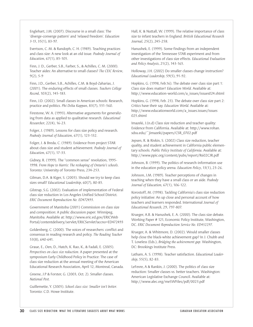Englehart, J.M. (2007). Discourse in a small class: The 'diverge-converge pattern' and 'relaxed freedom'. *Education 3-13*, 35(1), 83-97.

Evertson, C. M. & Randoph, C. H. (1989). Teaching practices and class size: A new look at an old issue. *Peabody Journal of Education*, 67(1), 85-105.

Finn, J. D., Gerber, S.B., Farber, S., & Achilles, C. M. (2000). Teacher aides: An alternative to small classes? *The CEIC Review*, 9(2), 5-9

Finn, J.D., Gerber, S.B., Achilles, C.M. & Boyd-Zaharias, J. (2001). The enduring effects of small classes. *Teachers College Record*, 103(2), 145-183.

Finn, J.D. (2002). Small classes in American schools: Research, practice and politics. *Phi Delta Kappan*, 83(7), 551-560.

Firestone, W. A. (1993). Alternative arguments for generalizing from data as applied to qualitative research. *Educational Researcher*, 22(4), 16-23.

Folger, J. (1989). Lessons for class size policy and research. *Peabody Journal of Education*, 67(1), 123-132.

Folger, J. & Breda, C. (1989). Evidence from project STAR about class size and student achievement. *Peabody Journal of Education*, 67(1), 17-33.

Gidney, R. (1999). The "common sense" revolution, 1995- 1998. *From Hope to Harris: The reshaping of Ontario's schools*. Toronto: University of Toronto Press, 234-253.

Gilman, D.A. & Kiger, S. (2003). Should we try to keep class sizes small? *Educational Leadership*, 60(7), 80-85.

Gilstrap, S.G. (2002). Evaluation of implementation of Federal class size reduction in Los Angeles Unified School District. *ERIC Document Reproduction No. ED472493*.

Government of Manitoba (2001) Commission on class size and composition: A public discussion paper. Winnipeg, Manitoba. Available at: http://www.eric.ed.gov/ERICWeb Portal/contentdelivery/servlet/ERICServlet?accno=ED472493

Goldenberg, C. (2000). The voices of researchers: conflict and consensus in reading research and policy. *The Reading Teacher* 53(8), 640-641.

Graue, E., Oen, D., Hatch, K. Rao, K., & Fadali, E. (2005). *Perspectives on class size reduction*. A paper presented at the symposium Early Childhood Policy in Practice: The case of class size reduction at the annual meeting of the American Educational Research Association, April 12, Montreal, Canada.

Greene, J.P & Forster, G. (2003, Oct. 2). Smaller classes. *National Post*.

Guillemette, Y. (2005). *School class size: Smaller isn't better*. Toronto: C.D. Howe Institute.

Hall, K. & Nuttall, W. (1999). The relative importance of class size to infant teachers in England. *British Educational Research Journal*, 25(2), 245-258.

Hanushek, E. (1999). Some findings from an independent investigation of the Tennessee STAR experiment and from other investigations of class size effects. *Educational Evaluation and Policy Analysis*, 21(2), 143-165.

Holloway, J.H. (2002) Do smaller classes change instruction? *Educational Leadership*, 59(5), 91-92.

Hopkins, G. (1998, Feb.16). The debate over class size part 1: Class size does matter! *Education World*. Available at: http://www.education-world.com/a\_issues/issues024.shtml

Hopkins, G. (1998, Feb. 23). The debate over class size part 2: Critics have their say. *Education World*. Available at: http://www.educationworld.com/a\_issues.issues/issues 025.shtml

Imazeki, J.(n.d) Class size reduction and teacher quality: Evidence from California. Available at: http://www.rohan. sdsu.edu/~jimazeki/papers/CSR\_0702.pdf

Jepsen, R. & Rivkin, S. (2002) Class size reduction, teacher quality, and student achievement in California public elementary schools. *Public Policy Institute of California*. Available at: http://www.ppic.org/content/pubs/report/R602CJR.pdf

Johnson, B. (1999). The politics of research-information use in the education policy arena. *Education Policy*, 13(1), 23-26.

Johnson, J.M. (1989). Teacher perceptions of changes in teaching when they have a small class or an aide. *Peabody Journal of Education*, 67(1), 106-122.

Korostoff, M. (1998). Tackling California's class size reduction policy initiative: An up close and personal account of how teachers and learners responded. International *Journal of Educational Research*, 29, 797-807.

Krueger, A.B. & Hanushek, E. A. (2000). The class size debate. Working Paper # 121, Economic Policy Institute, Washington, DC. *ERIC Document Reproduction Service No. ED452297*.

Krueger, A. & Whitmore, D. (2002). Would smaller classes help close the black-white achievement gap? In J. Chubb and T. Loveless (Eds.), *Bridging the achievement gap*. Washington, DC: Brookings Institute Press.

Latham, A. S. (1998). Teacher satisfaction. *Educational Leadership*, 55(5), 82-83.

LeFevre, A & Rankin, J. (2000). The politics of class size reduction: Smaller classes vs. better teachers. Washington: American Legislative Exchange Council. Available at: http://www.alec.org/meSWFiles/pdf/0023.pdf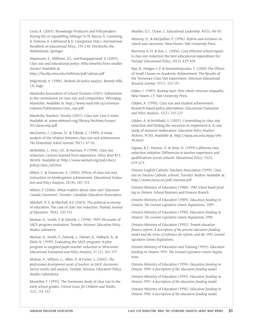Louis, K. (2005). Knowledge Producers and Policymakers: Kissing Kin or Squabbling Siblings? In N. Bascia, A. Cumming, A. Datnow, K. Leithwood & D. Livingstone (Eds.), *International Handbook on Educational Policy*, 219-238. Dordrecht, the Netherlands: Springer.

Maasoumi, E., Millimet, D.L, and Rangapprasad, V. (2005). Class size and educational policy: Who benefits from smaller classes? Available at:

http://faculty.smu.edu/millimet/pdf/sdclass.pdf

Majichrzak, A. (1984). *Methods for policy analysis*. Beverly Hills, CA: Sage.

Manitoba Association of School Trustees (2001). Submission to the commission on class size and composition. Winnipeg, Manitoba. Available at: http://www.mast.mb.ca/communications/Publications/class\_size.pdf

Manitoba Teachers' Society (2001). Class size: Less is more. Available at: www.mbteach.org/library/Archives/Issues/ ISS-classcomp.pdf

McGiverin, J., Gilman, D., & Tillitski, C. (1989). A metaanalysis of the relation between class size and achievement. *The Elementary School Journal*, 90(1), 47-56.

McRobbie, J., Finn, J.D., & Harman, P. (1998). Class size reduction: Lessons learned from experience. *Policy Brief #23*, *WestEd*. Available at: http://www.wested.org/pub/docs/ policy/class\_red.htm

Milesi, C. & Gramoran, A. (2006). Effects of class size and instruction on kindergarten achievement. *Educational Evaluation and Policy Analysi*s, 28 (4), 287-313.

Milton, P. (2006). What matters about class size? *Education Canada* (Summer). Toronto: Canadian Education Association

Mitchell, D. E. & Mitchell, R.E (2003). The political economy of education: The case of class size reduction. *Peabody Journal of Education*, 78(4), 120-152.

Molnar, A., Smith, P. & Zahorik, J. (1998). 1997-98 results of SAGE program evaluation. Temple, Arizona: *Education Policy Studies Laboratory*.

Molnar, A., Smith, P., Zahorik, J., Palmer, A., Halbach, A., & Ehrle, K. (1999). Evaluating the SAGE program: A pilot program in targeted pupil-teacher reduction in Wisconsin. *Educational Evaluation and Policy Analysis*, 21 (2), 165-177.

Molnar, A., Wilson, G., Allen, D. & Foster, S. (2002). *The professional development needs of teachers in SAGE classrooms: Survey results and analysis*. Temple, Arizona: Education Policy Studies Laboratory.

Mosteller, F. (1995). The Tennessee study of class size in the early school grades. *Critical Issues for Children and Youths*, 5(2), 113-127.

Mueller, D.J., Chase, C. *Educational Leadership*, 45(5), 48-50.

Muncey, D., & McQuillan, P. (1996). *Reform and resistance in schools and classrooms*. New Haven: Yale University Press.

Normore A. H. & IIon, L. (2006). Cost effective school inputs: Is class size reduction the best educational expenditure for Florida? *Educational Policy*, 20(2), 429-454.

Nye, B., Hedges, L.V. & Konstantopoulos, S. (2000) The Effects of Small Classes on Academic Achievement: The Results of the Tennessee Class Size Experiment. *American Educational Research Journal*, 37(1), 123-151.

Oakes, J. (1985). *Keeping track: How schools structure inequality*. New Haven, CT: Yale University Press.

Odden, A. (1990). Class size and student achievement: Research-based policy alternatives. *Educational Evaluation and Policy Analysis*, 12(2), 213-227.

Odden, A. & Archibald, S. (2001). Committing to class-size reduction and finding the resources to implement it: A case study of resource reallocation. *Education Policy Analysis Archives*, 9(30), Available at: http://epaa.asu.edu/epaa/v9n 30.html

Ogawa, R.T., Huston, D. & Stine, D. (1999).California class reduction initiative: Differences in teacher experience and qualifications across schools. *Educational Policy*, 13(5), 659-673.

Ontario English Catholic Teachers Association (1999). Class size in Ontario Catholic schools. Toronto: Author. Available at: http://www.oecta.on/pdf/classsize.pdf

Ontario Ministry of Education (1988). *1988 School board funding in Ontario*. School Business and Finance Branch.

Ontario Ministry of Education (1989). *Education funding in Ontario: The General Legislative Grants Regulations, 1989*.

Ontario Ministry of Education (1990). *Education funding in Ontario: The General Legislative Grants Regulations 1990*.

Ontario Ministry of Education (1992). *Toward education finance reform: A description of the present education funding model and the terms of reference for reform; and the 1992 General legislative Grants Regulations*.

Ontario Ministry of Education and Training (1993). *Education funding in Ontario 1993: The General Legislative Grants Regulations*.

Ontario Ministry of Education (1994). *Education funding in Ontario 1994: A description of the education funding model*.

Ontario Ministry of Education (1995). *Education funding in Ontario 1995: A description of the education funding model*.

Ontario Ministry of Education (1996). *Education funding in Ontario 1996: A description of the education funding model*.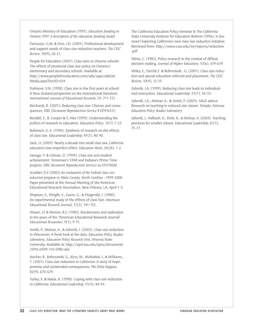Ontario Ministry of Education (1997). *Education funding in Ontario 1997: A description of the education funding model*.

Pannozzo, G.M. & Finn, J.D. (2001). Professional development and support needs of class-size reduction teachers. *The CEIC Review*, 10(9), 20-21.

People for Education (2007). Class sizes in Ontario schools: The effects of provincial class size policy on Ontario's elementary and secondary schools. Available at: http://www.peopleforeducation.com/adx/aspx/adxGet Media.aspx?DocID=614

Podmore, V.N. (1998). Class size in the first years at school: A New Zealand perspective on the international literature. *International Journal of Educational Research*, 29, 711-721.

Reichardt, R. (2001). Reducing class size: Choices and consequences. *ERIC Document Reproduction Service # ED456532*.

Rendall, E., B. Cooper & S. Hite (1999). Understanding the politics of research in education. *Education Policy*, 13(1) 7-22.

Robinson, G. E. (1990). Synthesis of research on the effects of class size. *Educational Leadership*, 47(7), 80-90.

Sack, J.L (2005). Nearly a decade into small class law, California educators love imperfect effort. *Education Week*, 24(24), 1-2.

Sanogo, Y. & Gilman, D. (1994). Class size and student achievement: Tennessee's STAR and Indiana's Prime Time projects. *ERIC document Reproduction Services no ED370680*.

Scudder, D.F (2002) *An evaluation of the Federal class size reduction program in Wake County, North Carolina* –1999-2000. Paper presented at the Annual Meeting of the American Educational Research Association, New Orleans, LA, April 1-5.

Shapson, S., Wright, E., Eason, G., & Fitzgerald, J. (1980). An experimental study of the effects of class Size. *American Educational Research Journal*, 17(2), 141-152.

Shaver, J.P & Norton, R.S. (1980). Randomness and replication in ten years of the "American Educational Research Journal" *Educational Researcher*, 9(1), 9-15.

Smith, P., Molnar, A., & Zahorik, J. (2003). Class size reduction in Wisconsin: A fresh look at the data. *Education Policy Studies Laboratory, Education Policy Research Unit*, Arizona State University. Available at: http://epsl.asu.edu/epru/documents /EPSL-0309-110-EPRU.doc

Stecher, B., Bohrnstedt, G., Kirst, M., McRobbie J., & Williams., T. (2001). Class size reduction in California: A story of hope, promise and unintended consequences. *Phi Delta Kappan*, 82(9), 670-674.

Turley, S. & Nakai, K. (1998). Coping with class size reduction in California. *Educational Leadership*, 55(5), 40-43.

The California Education Policy Seminar & The California State University Institute for Education Reform (1996). Is less more? Exploring California's new class size reduction initiative. Retrieved from: http://www.csus.edu/ier/reports/reduction .pdf

Weiss, C. (1982). Policy research in the context of diffuse decision making. *Journal of Higher Education*, 53(6), 619-639.

Wiley, E., Parrish,T. & Bohrnstedt , G. (2001). Class size reduction and special education referrals and placement. *The CEIC Review*, 10(9), 12-15.

Zahorik, J.A. (1999). Reducing class size leads to individualized instruction. *Educational Leadership*, 57(1), 50-53.

Zahorik, J.A., Molnar, A., & Smith, P. (2003). SAGE advice: Research on teaching in reduced-size classes. Temple, Arizona: *Education Policy Studies Laboratory*.

Zahorik, J., Halbach, A., Ehrle, K., & Molnar, A. (2003). Teaching practices for smaller classes. *Educational Leadership*, 61(1), 75-77.